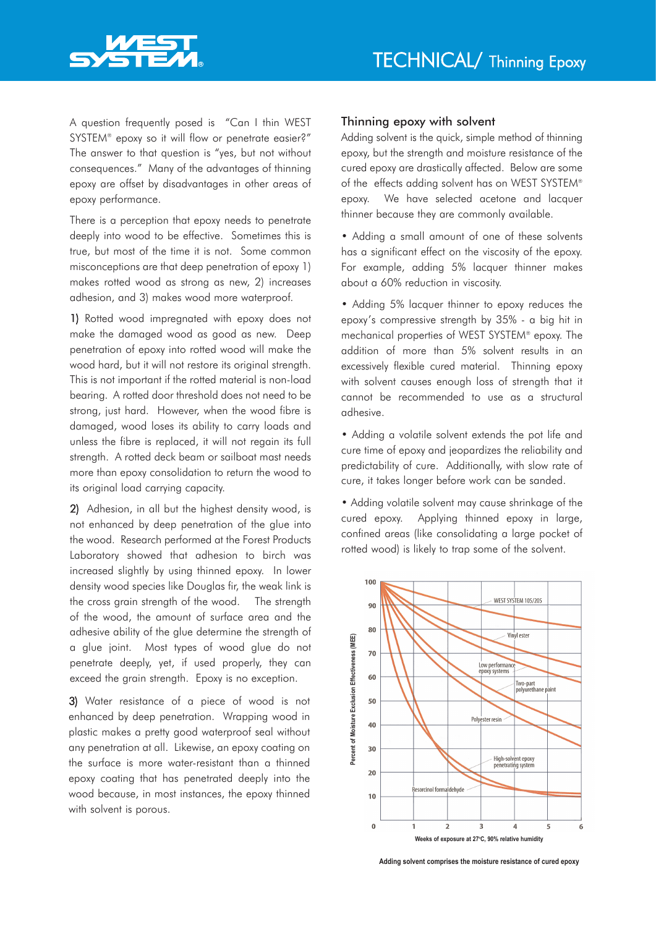

A question frequently posed is "Can I thin WEST SYSTEM® epoxy so it will flow or penetrate easier?" The answer to that question is "yes, but not without consequences." Many of the advantages of thinning epoxy are offset by disadvantages in other areas of epoxy performance.

There is a perception that epoxy needs to penetrate deeply into wood to be effective. Sometimes this is true, but most of the time it is not. Some common misconceptions are that deep penetration of epoxy 1) makes rotted wood as strong as new, 2) increases adhesion, and 3) makes wood more waterproof.

1) Rotted wood impregnated with epoxy does not make the damaged wood as good as new. Deep penetration of epoxy into rotted wood will make the wood hard, but it will not restore its original strength. This is not important if the rotted material is non-load bearing. A rotted door threshold does not need to be strong, just hard. However, when the wood fibre is damaged, wood loses its ability to carry loads and unless the fibre is replaced, it will not regain its full strength. A rotted deck beam or sailboat mast needs more than epoxy consolidation to return the wood to its original load carrying capacity.

2) Adhesion, in all but the highest density wood, is not enhanced by deep penetration of the glue into the wood. Research performed at the Forest Products Laboratory showed that adhesion to birch was increased slightly by using thinned epoxy. In lower density wood species like Douglas fir, the weak link is the cross grain strength of the wood. The strength of the wood, the amount of surface area and the adhesive ability of the glue determine the strength of a glue joint. Most types of wood glue do not penetrate deeply, yet, if used properly, they can exceed the grain strength. Epoxy is no exception.

3) Water resistance of a piece of wood is not enhanced by deep penetration. Wrapping wood in plastic makes a pretty good waterproof seal without any penetration at all. Likewise, an epoxy coating on the surface is more water-resistant than a thinned epoxy coating that has penetrated deeply into the wood because, in most instances, the epoxy thinned with solvent is porous.

## Thinning epoxy with solvent

Adding solvent is the quick, simple method of thinning epoxy, but the strength and moisture resistance of the cured epoxy are drastically affected. Below are some of the effects adding solvent has on WEST SYSTEM® epoxy. We have selected acetone and lacquer thinner because they are commonly available.

• Adding a small amount of one of these solvents has a significant effect on the viscosity of the epoxy. For example, adding 5% lacquer thinner makes about a 60% reduction in viscosity.

• Adding 5% lacquer thinner to epoxy reduces the epoxy's compressive strength by 35% - a big hit in mechanical properties of WEST SYSTEM® epoxy. The addition of more than 5% solvent results in an excessively flexible cured material. Thinning epoxy with solvent causes enough loss of strength that it cannot be recommended to use as a structural adhesive.

• Adding a volatile solvent extends the pot life and cure time of epoxy and jeopardizes the reliability and predictability of cure. Additionally, with slow rate of cure, it takes longer before work can be sanded.

• Adding volatile solvent may cause shrinkage of the cured epoxy. Applying thinned epoxy in large, confined areas (like consolidating a large pocket of rotted wood) is likely to trap some of the solvent.



**Adding solvent comprises the moisture resistance of cured epoxy**